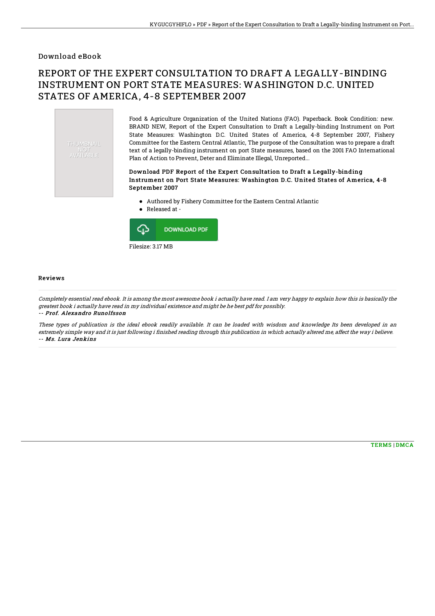### Download eBook

# REPORT OF THE EXPERT CONSULTATION TO DRAFT A LEGALLY-BINDING INSTRUMENT ON PORT STATE MEASURES: WASHINGTON D.C. UNITED STATES OF AMERICA, 4-8 SEPTEMBER 2007

THUMBNAIL **ENOT**<br>AVAILABLE

Food & Agriculture Organization of the United Nations (FAO). Paperback. Book Condition: new. BRAND NEW, Report of the Expert Consultation to Draft a Legally-binding Instrument on Port State Measures: Washington D.C. United States of America, 4-8 September 2007, Fishery Committee for the Eastern Central Atlantic, The purpose of the Consultation was to prepare a draft text of a legally-binding instrument on port State measures, based on the 2001 FAO International Plan of Action to Prevent, Deter and Eliminate Illegal, Unreported...

#### Download PDF Report of the Expert Consultation to Draft a Legally-binding Instrument on Port State Measures: Washington D.C. United States of America, 4-8 September 2007

- Authored by Fishery Committee for the Eastern Central Atlantic
- Released at  $\bullet$



#### Reviews

Completely essential read ebook. It is among the most awesome book i actually have read. I am very happy to explain how this is basically the greatest book i actually have read in my individual existence and might be he best pdf for possibly. -- Prof. Alexandro Runolfsson

These types of publication is the ideal ebook readily available. It can be loaded with wisdom and knowledge Its been developed in an extremely simple way and it is just following i finished reading through this publication in which actually altered me, affect the way i believe. -- Ms. Lura Jenkins